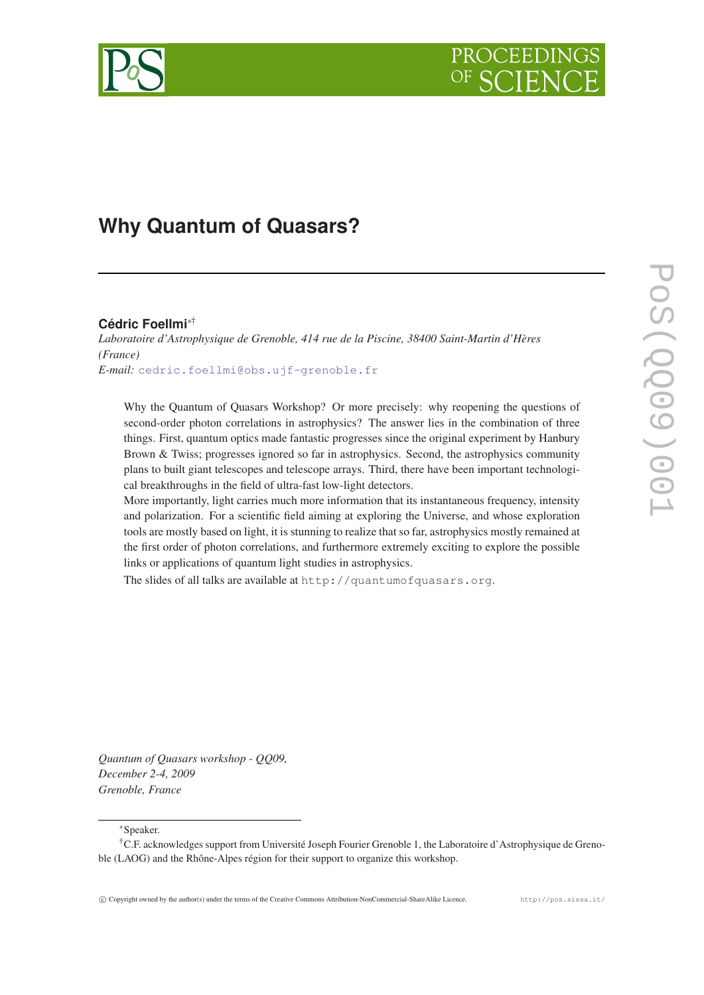# **Why Quantum of Quasars?**

## **Cédric Foellmi**∗†

*Laboratoire d'Astrophysique de Grenoble, 414 rue de la Piscine, 38400 Saint-Martin d'Hères (France) E-mail:* [cedric.foellmi@obs.ujf-grenoble.fr](mailto:cedric.foellmi@obs.ujf-grenoble.fr)

Why the Quantum of Quasars Workshop? Or more precisely: why reopening the questions of second-order photon correlations in astrophysics? The answer lies in the combination of three things. First, quantum optics made fantastic progresses since the original experiment by Hanbury Brown & Twiss; progresses ignored so far in astrophysics. Second, the astrophysics community plans to built giant telescopes and telescope arrays. Third, there have been important technological breakthroughs in the field of ultra-fast low-light detectors.

More importantly, light carries much more information that its instantaneous frequency, intensity and polarization. For a scientific field aiming at exploring the Universe, and whose exploration tools are mostly based on light, it is stunning to realize that so far, astrophysics mostly remained at the first order of photon correlations, and furthermore extremely exciting to explore the possible links or applications of quantum light studies in astrophysics.

The slides of all talks are available at http://quantumofquasars.org.

*Quantum of Quasars workshop - QQ09, December 2-4, 2009 Grenoble, France*

<sup>∗</sup>Speaker.

<sup>†</sup>C.F. acknowledges support from Université Joseph Fourier Grenoble 1, the Laboratoire d'Astrophysique de Grenoble (LAOG) and the Rhône-Alpes région for their support to organize this workshop.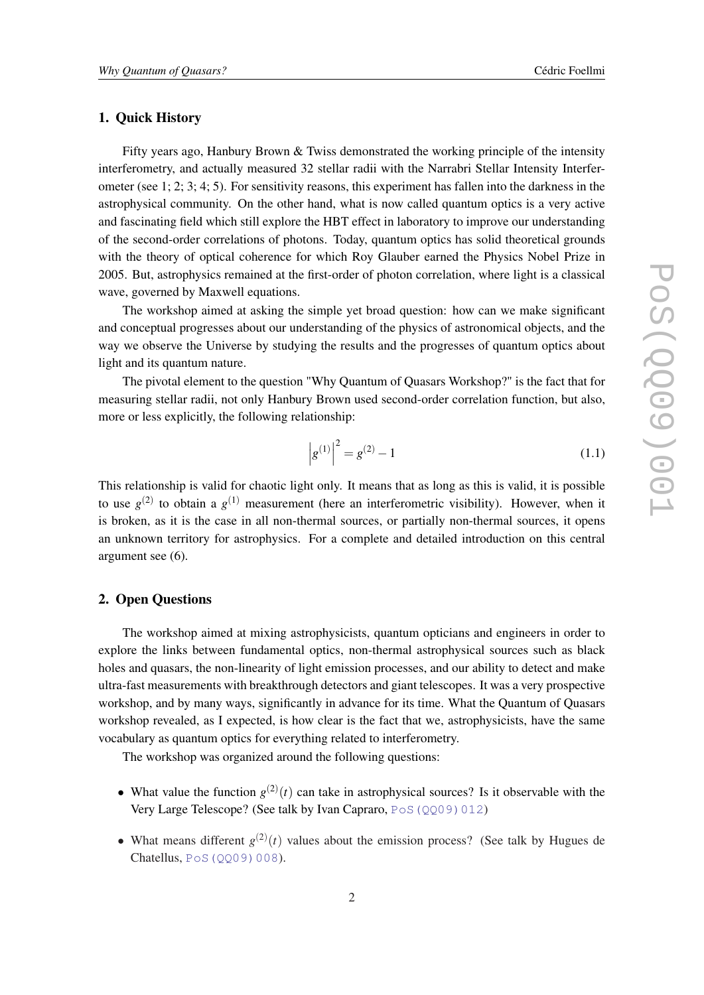#### 1. Quick History

Fifty years ago, Hanbury Brown & Twiss demonstrated the working principle of the intensity interferometry, and actually measured 32 stellar radii with the Narrabri Stellar Intensity Interferometer (see 1; 2; 3; 4; 5). For sensitivity reasons, this experiment has fallen into the darkness in the astrophysical community. On the other hand, what is now called quantum optics is a very active and fascinating field which still explore the HBT effect in laboratory to improve our understanding of the second-order correlations of photons. Today, quantum optics has solid theoretical grounds with the theory of optical coherence for which Roy Glauber earned the Physics Nobel Prize in 2005. But, astrophysics remained at the first-order of photon correlation, where light is a classical wave, governed by Maxwell equations.

The workshop aimed at asking the simple yet broad question: how can we make significant and conceptual progresses about our understanding of the physics of astronomical objects, and the way we observe the Universe by studying the results and the progresses of quantum optics about light and its quantum nature.

The pivotal element to the question "Why Quantum of Quasars Workshop?" is the fact that for measuring stellar radii, not only Hanbury Brown used second-order correlation function, but also, more or less explicitly, the following relationship:

$$
\left|g^{(1)}\right|^2 = g^{(2)} - 1\tag{1.1}
$$

This relationship is valid for chaotic light only. It means that as long as this is valid, it is possible to use  $g^{(2)}$  to obtain a  $g^{(1)}$  measurement (here an interferometric visibility). However, when it is broken, as it is the case in all non-thermal sources, or partially non-thermal sources, it opens an unknown territory for astrophysics. For a complete and detailed introduction on this central argument see (6).

### 2. Open Questions

The workshop aimed at mixing astrophysicists, quantum opticians and engineers in order to explore the links between fundamental optics, non-thermal astrophysical sources such as black holes and quasars, the non-linearity of light emission processes, and our ability to detect and make ultra-fast measurements with breakthrough detectors and giant telescopes. It was a very prospective workshop, and by many ways, significantly in advance for its time. What the Quantum of Quasars workshop revealed, as I expected, is how clear is the fact that we, astrophysicists, have the same vocabulary as quantum optics for everything related to interferometry.

The workshop was organized around the following questions:

- What value the function  $g^{(2)}(t)$  can take in astrophysical sources? Is it observable with the Very Large Telescope? (See talk by Ivan Capraro, PoS (0009)012)
- What means different  $g^{(2)}(t)$  values about the emission process? (See talk by Hugues de Chatellus, [PoS\(QQ09\)008](http://pos.sissa.it/cgi-bin/reader/contribution.cgi?id=PoS(QQ09)008)).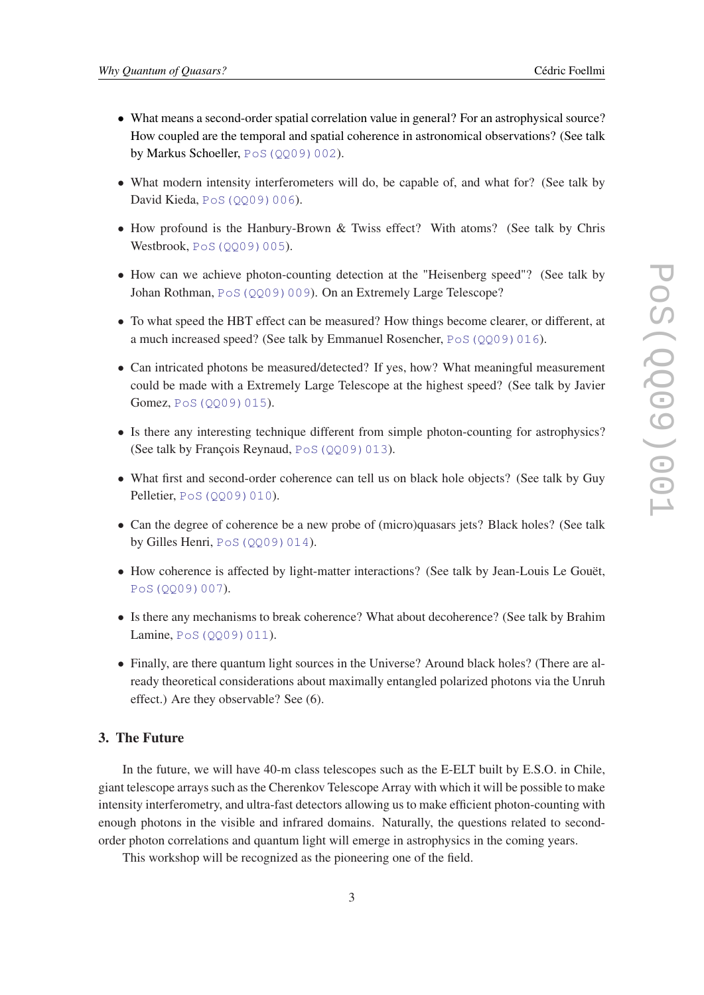- What means a second-order spatial correlation value in general? For an astrophysical source? How coupled are the temporal and spatial coherence in astronomical observations? (See talk by Markus Schoeller, PoS (QQ09)002).
- What modern intensity interferometers will do, be capable of, and what for? (See talk by David Kieda, PoS (QQ09) 006).
- How profound is the Hanbury-Brown & Twiss effect? With atoms? (See talk by Chris Westbrook, PoS (QQ09)005).
- How can we achieve photon-counting detection at the "Heisenberg speed"? (See talk by Johan Rothman, PoS (QQ09)009). On an Extremely Large Telescope?
- To what speed the HBT effect can be measured? How things become clearer, or different, at a much increased speed? (See talk by Emmanuel Rosencher, [PoS\(QQ09\)016](http://pos.sissa.it/cgi-bin/reader/contribution.cgi?id=PoS(QQ09)016)).
- Can intricated photons be measured/detected? If yes, how? What meaningful measurement could be made with a Extremely Large Telescope at the highest speed? (See talk by Javier Gomez, PoS (QQ09) 015).
- Is there any interesting technique different from simple photon-counting for astrophysics? (See talk by François Reynaud,  $PoS(QQ09)013$ ).
- What first and second-order coherence can tell us on black hole objects? (See talk by Guy Pelletier, [PoS\(QQ09\)010](http://pos.sissa.it/cgi-bin/reader/contribution.cgi?id=PoS(QQ09)010)).
- Can the degree of coherence be a new probe of (micro)quasars jets? Black holes? (See talk by Gilles Henri,  $Pos(QQ09)014$ .
- How coherence is affected by light-matter interactions? (See talk by Jean-Louis Le Gouët, [PoS\(QQ09\)007](http://pos.sissa.it/cgi-bin/reader/contribution.cgi?id=PoS(QQ09)007)).
- Is there any mechanisms to break coherence? What about decoherence? (See talk by Brahim Lamine, [PoS\(QQ09\)011](http://pos.sissa.it/cgi-bin/reader/contribution.cgi?id=PoS(QQ09)011)).
- Finally, are there quantum light sources in the Universe? Around black holes? (There are already theoretical considerations about maximally entangled polarized photons via the Unruh effect.) Are they observable? See (6).

# 3. The Future

In the future, we will have 40-m class telescopes such as the E-ELT built by E.S.O. in Chile, giant telescope arrays such as the Cherenkov Telescope Array with which it will be possible to make intensity interferometry, and ultra-fast detectors allowing us to make efficient photon-counting with enough photons in the visible and infrared domains. Naturally, the questions related to secondorder photon correlations and quantum light will emerge in astrophysics in the coming years.

This workshop will be recognized as the pioneering one of the field.